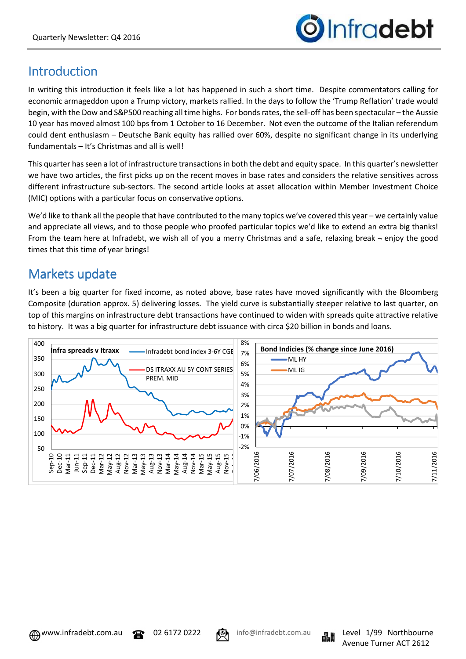

# **Introduction**

In writing this introduction it feels like a lot has happened in such a short time. Despite commentators calling for economic armageddon upon a Trump victory, markets rallied. In the days to follow the 'Trump Reflation' trade would begin, with the Dow and S&P500 reaching all time highs. For bonds rates, the sell-off has been spectacular – the Aussie 10 year has moved almost 100 bps from 1 October to 16 December. Not even the outcome of the Italian referendum could dent enthusiasm – Deutsche Bank equity has rallied over 60%, despite no significant change in its underlying fundamentals – It's Christmas and all is well!

This quarter has seen a lot of infrastructure transactions in both the debt and equity space. In this quarter's newsletter we have two articles, the first picks up on the recent moves in base rates and considers the relative sensitives across different infrastructure sub-sectors. The second article looks at asset allocation within Member Investment Choice (MIC) options with a particular focus on conservative options.

We'd like to thank all the people that have contributed to the many topics we've covered this year – we certainly value and appreciate all views, and to those people who proofed particular topics we'd like to extend an extra big thanks! From the team here at Infradebt, we wish all of you a merry Christmas and a safe, relaxing break ¬ enjoy the good times that this time of year brings!

# Markets update

It's been a big quarter for fixed income, as noted above, base rates have moved significantly with the Bloomberg Composite (duration approx. 5) delivering losses. The yield curve is substantially steeper relative to last quarter, on top of this margins on infrastructure debt transactions have continued to widen with spreads quite attractive relative to history. It was a big quarter for infrastructure debt issuance with circa \$20 billion in bonds and loans.



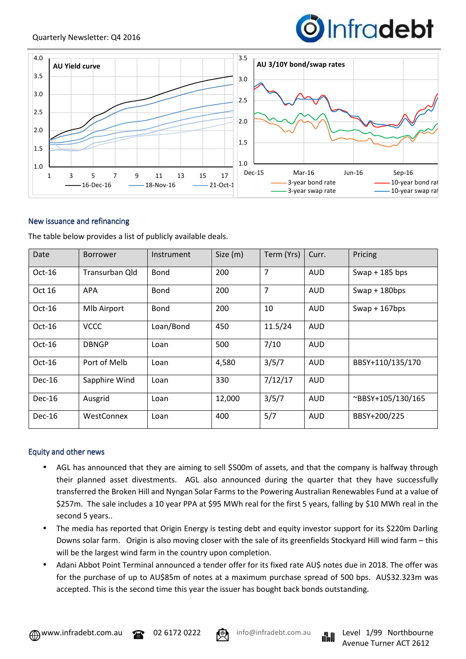



## New issuance and refinancing

The table below provides a list of publicly available deals.

| Date          | <b>Borrower</b>    | Instrument  | Size (m) | Term (Yrs) | Curr.      | Pricing           |
|---------------|--------------------|-------------|----------|------------|------------|-------------------|
| $Oct-16$      | Transurban Old     | <b>Bond</b> | 200      | 7          | <b>AUD</b> | Swap $+$ 185 bps  |
| Oct 16        | <b>APA</b>         | Bond        | 200      | 7          | <b>AUD</b> | Swap + $180bps$   |
| $Oct-16$      | <b>MIb Airport</b> | <b>Bond</b> | 200      | 10         | <b>AUD</b> | Swap + $167bps$   |
| $Oct-16$      | <b>VCCC</b>        | Loan/Bond   | 450      | 11.5/24    | <b>AUD</b> |                   |
| $Oct-16$      | <b>DBNGP</b>       | Loan        | 500      | 7/10       | <b>AUD</b> |                   |
| $Oct-16$      | Port of Melb       | Loan        | 4,580    | 3/5/7      | <b>AUD</b> | BBSY+110/135/170  |
| <b>Dec-16</b> | Sapphire Wind      | Loan        | 330      | 7/12/17    | <b>AUD</b> |                   |
| $Dec-16$      | Ausgrid            | Loan        | 12,000   | 3/5/7      | <b>AUD</b> | ~BBSY+105/130/165 |
| $Dec-16$      | WestConnex         | Loan        | 400      | 5/7        | <b>AUD</b> | BBSY+200/225      |

#### Equity and other news

- AGL has announced that they are aiming to sell \$500m of assets, and that the company is halfway through their planned asset divestments. AGL also announced during the quarter that they have successfully transferred the Broken Hill and Nyngan Solar Farms to the Powering Australian Renewables Fund at a value of \$257m. The sale includes a 10 year PPA at \$95 MWh real for the first 5 years, falling by \$10 MWh real in the second 5 years..
- The media has reported that Origin Energy is testing debt and equity investor support for its \$220m Darling Downs solar farm. Origin is also moving closer with the sale of its greenfields Stockyard Hill wind farm – this will be the largest wind farm in the country upon completion.
- Adani Abbot Point Terminal announced a tender offer for its fixed rate AU\$ notes due in 2018. The offer was for the purchase of up to AU\$85m of notes at a maximum purchase spread of 500 bps. AU\$32.323m was accepted. This is the second time this year the issuer has bought back bonds outstanding.



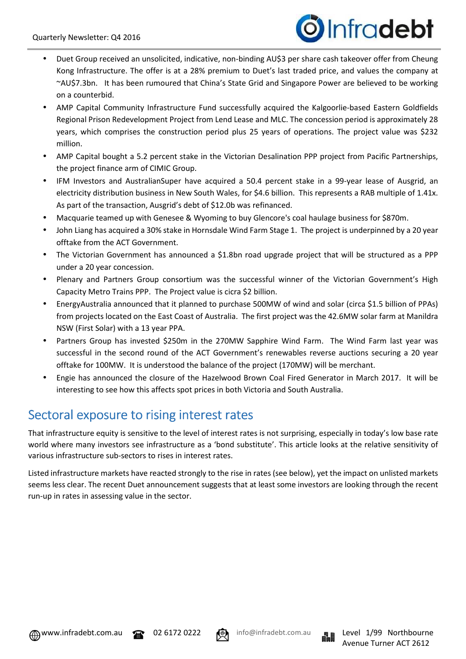

- Duet Group received an unsolicited, indicative, non-binding AU\$3 per share cash takeover offer from Cheung Kong Infrastructure. The offer is at a 28% premium to Duet's last traded price, and values the company at ~AU\$7.3bn. It has been rumoured that China's State Grid and Singapore Power are believed to be working on a counterbid.
- AMP Capital Community Infrastructure Fund successfully acquired the Kalgoorlie-based Eastern Goldfields Regional Prison Redevelopment Project from Lend Lease and MLC. The concession period is approximately 28 years, which comprises the construction period plus 25 years of operations. The project value was \$232 million.
- AMP Capital bought a 5.2 percent stake in the Victorian Desalination PPP project from Pacific Partnerships, the project finance arm of CIMIC Group.
- IFM Investors and AustralianSuper have acquired a 50.4 percent stake in a 99-year lease of Ausgrid, an electricity distribution business in New South Wales, for \$4.6 billion. This represents a RAB multiple of 1.41x. As part of the transaction, Ausgrid's debt of \$12.0b was refinanced.
- Macquarie teamed up with Genesee & Wyoming to buy Glencore's coal haulage business for \$870m.
- John Liang has acquired a 30% stake in Hornsdale Wind Farm Stage 1. The project is underpinned by a 20 year offtake from the ACT Government.
- The Victorian Government has announced a \$1.8bn road upgrade project that will be structured as a PPP under a 20 year concession.
- Plenary and Partners Group consortium was the successful winner of the Victorian Government's High Capacity Metro Trains PPP. The Project value is cicra \$2 billion.
- EnergyAustralia announced that it planned to purchase 500MW of wind and solar (circa \$1.5 billion of PPAs) from projects located on the East Coast of Australia. The first project was the 42.6MW solar farm at Manildra NSW (First Solar) with a 13 year PPA.
- Partners Group has invested \$250m in the 270MW Sapphire Wind Farm. The Wind Farm last year was successful in the second round of the ACT Government's renewables reverse auctions securing a 20 year offtake for 100MW. It is understood the balance of the project (170MW) will be merchant.
- Engie has announced the closure of the Hazelwood Brown Coal Fired Generator in March 2017. It will be interesting to see how this affects spot prices in both Victoria and South Australia.

# Sectoral exposure to rising interest rates

That infrastructure equity is sensitive to the level of interest rates is not surprising, especially in today's low base rate world where many investors see infrastructure as a 'bond substitute'. This article looks at the relative sensitivity of various infrastructure sub-sectors to rises in interest rates.

Listed infrastructure markets have reacted strongly to the rise in rates (see below), yet the impact on unlisted markets seems less clear. The recent Duet announcement suggests that at least some investors are looking through the recent run-up in rates in assessing value in the sector.





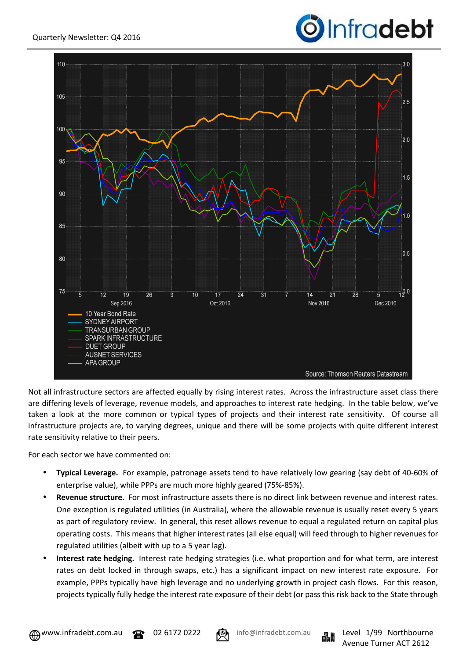



Not all infrastructure sectors are affected equally by rising interest rates. Across the infrastructure asset class there are differing levels of leverage, revenue models, and approaches to interest rate hedging. In the table below, we've taken a look at the more common or typical types of projects and their interest rate sensitivity. Of course all infrastructure projects are, to varying degrees, unique and there will be some projects with quite different interest rate sensitivity relative to their peers.

For each sector we have commented on:

- **Typical Leverage.** For example, patronage assets tend to have relatively low gearing (say debt of 40-60% of enterprise value), while PPPs are much more highly geared (75%-85%).
- **Revenue structure.** For most infrastructure assets there is no direct link between revenue and interest rates. One exception is regulated utilities (in Australia), where the allowable revenue is usually reset every 5 years as part of regulatory review. In general, this reset allows revenue to equal a regulated return on capital plus operating costs. This means that higher interest rates (all else equal) will feed through to higher revenues for regulated utilities (albeit with up to a 5 year lag).
- **Interest rate hedging.** Interest rate hedging strategies (i.e. what proportion and for what term, are interest rates on debt locked in through swaps, etc.) has a significant impact on new interest rate exposure. For example, PPPs typically have high leverage and no underlying growth in project cash flows. For this reason, projects typically fully hedge the interest rate exposure of their debt (or pass this risk back to the State through



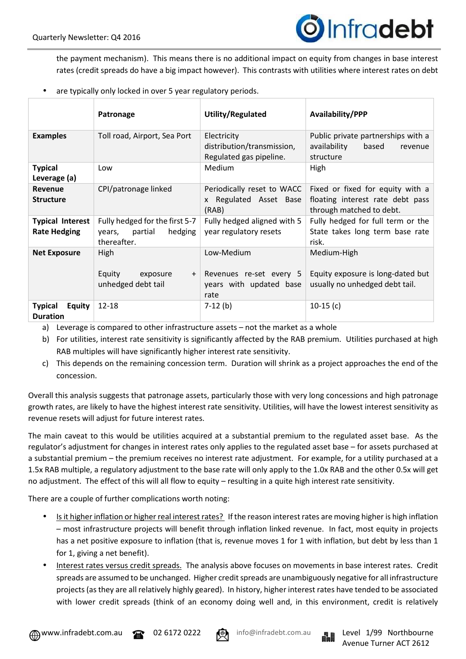

the payment mechanism). This means there is no additional impact on equity from changes in base interest rates (credit spreads do have a big impact however). This contrasts with utilities where interest rates on debt

are typically only locked in over 5 year regulatory periods.

|                                                    | Patronage                                                                  | Utility/Regulated                                                        | Availability/PPP                                                                                 |  |  |
|----------------------------------------------------|----------------------------------------------------------------------------|--------------------------------------------------------------------------|--------------------------------------------------------------------------------------------------|--|--|
| <b>Examples</b>                                    | Toll road, Airport, Sea Port                                               | Electricity<br>distribution/transmission,<br>Regulated gas pipeline.     | Public private partnerships with a<br>availability<br>based<br>revenue<br>structure              |  |  |
| <b>Typical</b><br>Leverage (a)                     | Low                                                                        | Medium                                                                   | High                                                                                             |  |  |
| <b>Revenue</b><br><b>Structure</b>                 | CPI/patronage linked                                                       | Periodically reset to WACC<br>x Regulated Asset Base<br>(RAB)            | Fixed or fixed for equity with a<br>floating interest rate debt pass<br>through matched to debt. |  |  |
| <b>Typical Interest</b><br><b>Rate Hedging</b>     | Fully hedged for the first 5-7<br>hedging<br>years, partial<br>thereafter. | Fully hedged aligned with 5<br>year regulatory resets                    | Fully hedged for full term or the<br>State takes long term base rate<br>risk.                    |  |  |
| <b>Net Exposure</b>                                | High<br>Equity<br>exposure<br>$+$<br>unhedged debt tail                    | Low-Medium<br>Revenues re-set every 5<br>years with updated base<br>rate | Medium-High<br>Equity exposure is long-dated but<br>usually no unhedged debt tail.               |  |  |
| <b>Typical</b><br><b>Equity</b><br><b>Duration</b> | $12 - 18$                                                                  | $7-12(b)$                                                                | $10-15(c)$                                                                                       |  |  |

a) Leverage is compared to other infrastructure assets – not the market as a whole

- b) For utilities, interest rate sensitivity is significantly affected by the RAB premium. Utilities purchased at high RAB multiples will have significantly higher interest rate sensitivity.
- c) This depends on the remaining concession term. Duration will shrink as a project approaches the end of the concession.

Overall this analysis suggests that patronage assets, particularly those with very long concessions and high patronage growth rates, are likely to have the highest interest rate sensitivity. Utilities, will have the lowest interest sensitivity as revenue resets will adjust for future interest rates.

The main caveat to this would be utilities acquired at a substantial premium to the regulated asset base. As the regulator's adjustment for changes in interest rates only applies to the regulated asset base – for assets purchased at a substantial premium – the premium receives no interest rate adjustment. For example, for a utility purchased at a 1.5x RAB multiple, a regulatory adjustment to the base rate will only apply to the 1.0x RAB and the other 0.5x will get no adjustment. The effect of this will all flow to equity – resulting in a quite high interest rate sensitivity.

There are a couple of further complications worth noting:

- Is it higher inflation or higher real interest rates? If the reason interest rates are moving higher is high inflation – most infrastructure projects will benefit through inflation linked revenue. In fact, most equity in projects has a net positive exposure to inflation (that is, revenue moves 1 for 1 with inflation, but debt by less than 1 for 1, giving a net benefit).
- Interest rates versus credit spreads. The analysis above focuses on movements in base interest rates. Credit spreads are assumed to be unchanged. Higher credit spreads are unambiguously negative for all infrastructure projects (as they are all relatively highly geared). In history, higher interest rates have tended to be associated with lower credit spreads (think of an economy doing well and, in this environment, credit is relatively



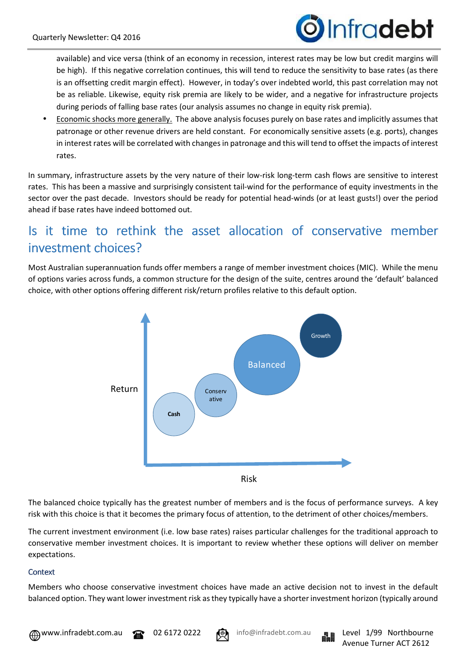

available) and vice versa (think of an economy in recession, interest rates may be low but credit margins will be high). If this negative correlation continues, this will tend to reduce the sensitivity to base rates (as there is an offsetting credit margin effect). However, in today's over indebted world, this past correlation may not be as reliable. Likewise, equity risk premia are likely to be wider, and a negative for infrastructure projects during periods of falling base rates (our analysis assumes no change in equity risk premia).

• Economic shocks more generally. The above analysis focuses purely on base rates and implicitly assumes that patronage or other revenue drivers are held constant. For economically sensitive assets (e.g. ports), changes in interest rates will be correlated with changes in patronage and this will tend to offset the impacts of interest rates.

In summary, infrastructure assets by the very nature of their low-risk long-term cash flows are sensitive to interest rates. This has been a massive and surprisingly consistent tail-wind for the performance of equity investments in the sector over the past decade. Investors should be ready for potential head-winds (or at least gusts!) over the period ahead if base rates have indeed bottomed out.

# Is it time to rethink the asset allocation of conservative member investment choices?

Most Australian superannuation funds offer members a range of member investment choices (MIC). While the menu of options varies across funds, a common structure for the design of the suite, centres around the 'default' balanced choice, with other options offering different risk/return profiles relative to this default option.



The balanced choice typically has the greatest number of members and is the focus of performance surveys. A key risk with this choice is that it becomes the primary focus of attention, to the detriment of other choices/members.

The current investment environment (i.e. low base rates) raises particular challenges for the traditional approach to conservative member investment choices. It is important to review whether these options will deliver on member expectations.

## **Context**

Members who choose conservative investment choices have made an active decision not to invest in the default balanced option. They want lower investment risk as they typically have a shorter investment horizon (typically around





Avenue Turner ACT 2612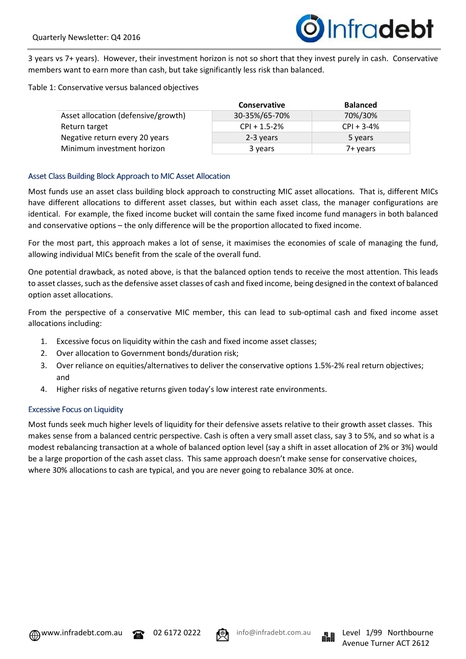

3 years vs 7+ years). However, their investment horizon is not so short that they invest purely in cash. Conservative members want to earn more than cash, but take significantly less risk than balanced.

Table 1: Conservative versus balanced objectives

|                                     | Conservative     | <b>Balanced</b> |
|-------------------------------------|------------------|-----------------|
| Asset allocation (defensive/growth) | 30-35%/65-70%    | 70%/30%         |
| Return target                       | $CPI + 1.5 - 2%$ | $CPI + 3-4%$    |
| Negative return every 20 years      | 2-3 years        | 5 years         |
| Minimum investment horizon          | 3 years          | 7+ years        |

## Asset Class Building Block Approach to MIC Asset Allocation

Most funds use an asset class building block approach to constructing MIC asset allocations. That is, different MICs have different allocations to different asset classes, but within each asset class, the manager configurations are identical. For example, the fixed income bucket will contain the same fixed income fund managers in both balanced and conservative options – the only difference will be the proportion allocated to fixed income.

For the most part, this approach makes a lot of sense, it maximises the economies of scale of managing the fund, allowing individual MICs benefit from the scale of the overall fund.

One potential drawback, as noted above, is that the balanced option tends to receive the most attention. This leads to asset classes, such as the defensive asset classes of cash and fixed income, being designed in the context of balanced option asset allocations.

From the perspective of a conservative MIC member, this can lead to sub-optimal cash and fixed income asset allocations including:

- 1. Excessive focus on liquidity within the cash and fixed income asset classes;
- 2. Over allocation to Government bonds/duration risk;
- 3. Over reliance on equities/alternatives to deliver the conservative options 1.5%-2% real return objectives; and
- 4. Higher risks of negative returns given today's low interest rate environments.

#### **Excessive Focus on Liquidity**

Most funds seek much higher levels of liquidity for their defensive assets relative to their growth asset classes. This makes sense from a balanced centric perspective. Cash is often a very small asset class, say 3 to 5%, and so what is a modest rebalancing transaction at a whole of balanced option level (say a shift in asset allocation of 2% or 3%) would be a large proportion of the cash asset class. This same approach doesn't make sense for conservative choices, where 30% allocations to cash are typical, and you are never going to rebalance 30% at once.



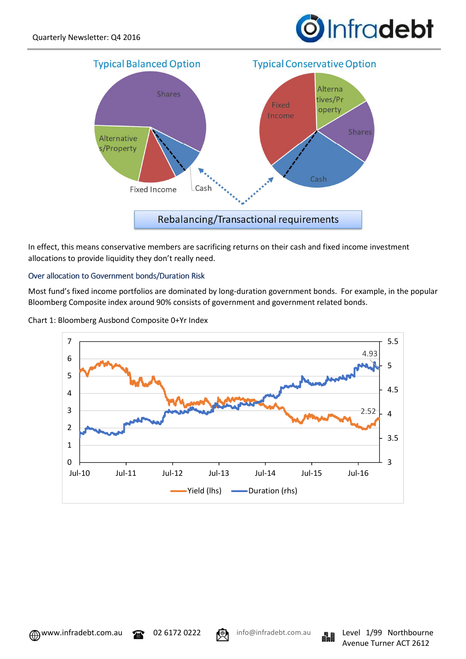



In effect, this means conservative members are sacrificing returns on their cash and fixed income investment allocations to provide liquidity they don't really need.

## Over allocation to Government bonds/Duration Risk

Most fund's fixed income portfolios are dominated by long-duration government bonds. For example, in the popular Bloomberg Composite index around 90% consists of government and government related bonds.







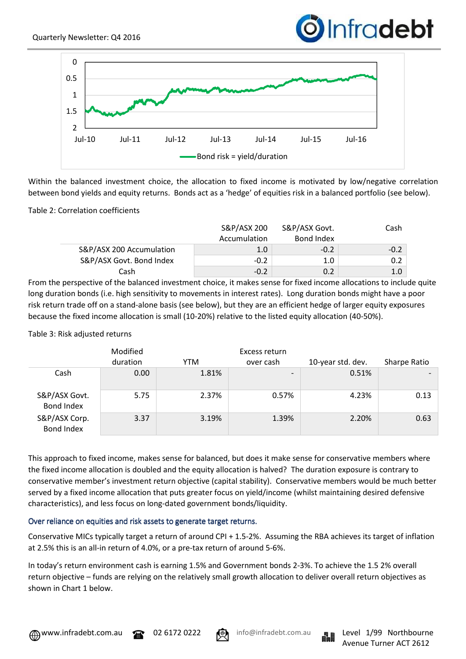# Infradebt



Within the balanced investment choice, the allocation to fixed income is motivated by low/negative correlation between bond yields and equity returns. Bonds act as a 'hedge' of equities risk in a balanced portfolio (see below).

## Table 2: Correlation coefficients

|                          | S&P/ASX 200      | S&P/ASX Govt. | Cash   |
|--------------------------|------------------|---------------|--------|
|                          | Accumulation     | Bond Index    |        |
| S&P/ASX 200 Accumulation | 1.0 <sub>1</sub> | $-0.2$        | $-0.2$ |
| S&P/ASX Govt. Bond Index | $-0.2$           | 1.0           | 0.2    |
| Cash                     | $-0.2$           | 0.2           | 1.0    |

From the perspective of the balanced investment choice, it makes sense for fixed income allocations to include quite long duration bonds (i.e. high sensitivity to movements in interest rates). Long duration bonds might have a poor risk return trade off on a stand-alone basis (see below), but they are an efficient hedge of larger equity exposures because the fixed income allocation is small (10-20%) relative to the listed equity allocation (40-50%).

Table 3: Risk adjusted returns

|                                    | Modified |            | Excess return            |                   |              |
|------------------------------------|----------|------------|--------------------------|-------------------|--------------|
|                                    | duration | <b>YTM</b> | over cash                | 10-year std. dev. | Sharpe Ratio |
| Cash                               | 0.00     | 1.81%      | $\overline{\phantom{a}}$ | 0.51%             |              |
| S&P/ASX Govt.<br><b>Bond Index</b> | 5.75     | 2.37%      | 0.57%                    | 4.23%             | 0.13         |
| S&P/ASX Corp.<br>Bond Index        | 3.37     | 3.19%      | 1.39%                    | 2.20%             | 0.63         |

This approach to fixed income, makes sense for balanced, but does it make sense for conservative members where the fixed income allocation is doubled and the equity allocation is halved? The duration exposure is contrary to conservative member's investment return objective (capital stability). Conservative members would be much better served by a fixed income allocation that puts greater focus on yield/income (whilst maintaining desired defensive characteristics), and less focus on long-dated government bonds/liquidity.

# Over reliance on equities and risk assets to generate target returns.

Conservative MICs typically target a return of around CPI + 1.5-2%. Assuming the RBA achieves its target of inflation at 2.5% this is an all-in return of 4.0%, or a pre-tax return of around 5-6%.

In today's return environment cash is earning 1.5% and Government bonds 2-3%. To achieve the 1.5 2% overall return objective – funds are relying on the relatively small growth allocation to deliver overall return objectives as shown in Chart 1 below.





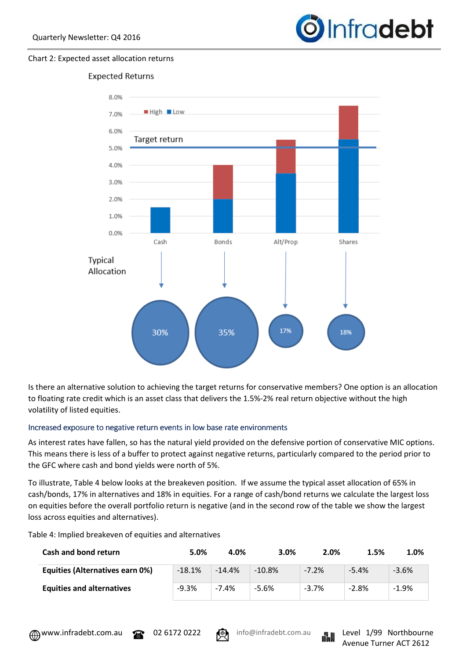

#### Chart 2: Expected asset allocation returns



Is there an alternative solution to achieving the target returns for conservative members? One option is an allocation to floating rate credit which is an asset class that delivers the 1.5%-2% real return objective without the high volatility of listed equities.

#### Increased exposure to negative return events in low base rate environments

As interest rates have fallen, so has the natural yield provided on the defensive portion of conservative MIC options. This means there is less of a buffer to protect against negative returns, particularly compared to the period prior to the GFC where cash and bond yields were north of 5%.

To illustrate, Table 4 below looks at the breakeven position. If we assume the typical asset allocation of 65% in cash/bonds, 17% in alternatives and 18% in equities. For a range of cash/bond returns we calculate the largest loss on equities before the overall portfolio return is negative (and in the second row of the table we show the largest loss across equities and alternatives).

| Cash and bond return                   | 5.0%     | 4.0%     | 3.0%     | 2.0%    | 1.5%    | 1.0%    |
|----------------------------------------|----------|----------|----------|---------|---------|---------|
| <b>Equities (Alternatives earn 0%)</b> | $-18.1%$ | $-14.4%$ | $-10.8%$ | $-7.2%$ | $-5.4%$ | $-3.6%$ |
| <b>Equities and alternatives</b>       | $-9.3%$  | $-7.4%$  | -5.6%    | $-3.7%$ | $-2.8%$ | $-1.9%$ |